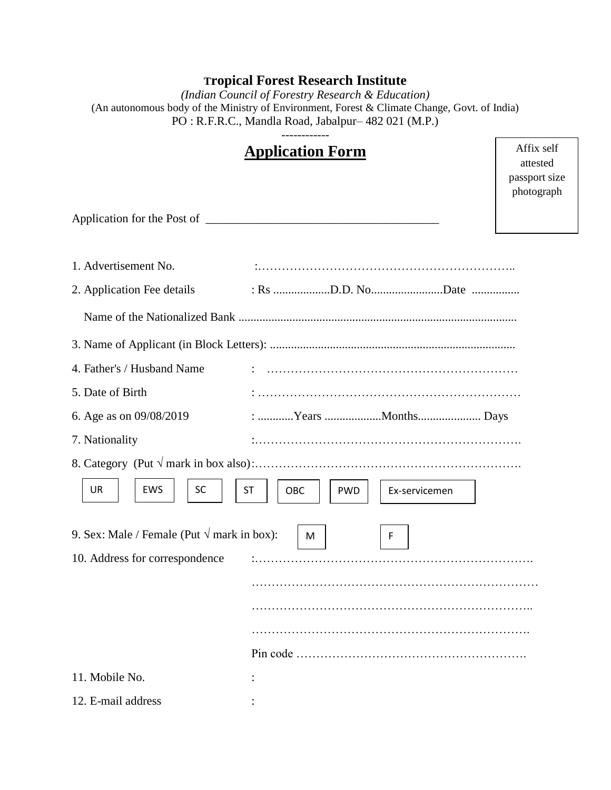# **Tropical Forest Research Institute**

*(Indian Council of Forestry Research & Education)* (An autonomous body of the Ministry of Environment, Forest & Climate Change, Govt. of India) PO : R.F.R.C., Mandla Road, Jabalpur– 482 021 (M.P.)

| 1. Advertisement No.<br>2. Application Fee details<br>4. Father's / Husband Name<br>5. Date of Birth<br>6. Age as on 09/08/2019<br>: Years Months Days<br>7. Nationality<br><b>UR</b><br><b>EWS</b><br>SC<br><b>ST</b><br>OBC<br><b>PWD</b><br>Ex-servicemen<br>9. Sex: Male / Female (Put $\sqrt{m}$ mark in box):<br>F<br>M<br>10. Address for correspondence<br>11. Mobile No. |                    | <b>Application Form</b> | Affix self<br>attested<br>passport size<br>photograph |
|-----------------------------------------------------------------------------------------------------------------------------------------------------------------------------------------------------------------------------------------------------------------------------------------------------------------------------------------------------------------------------------|--------------------|-------------------------|-------------------------------------------------------|
|                                                                                                                                                                                                                                                                                                                                                                                   |                    |                         |                                                       |
|                                                                                                                                                                                                                                                                                                                                                                                   |                    |                         |                                                       |
|                                                                                                                                                                                                                                                                                                                                                                                   |                    |                         |                                                       |
|                                                                                                                                                                                                                                                                                                                                                                                   |                    |                         |                                                       |
|                                                                                                                                                                                                                                                                                                                                                                                   |                    |                         |                                                       |
|                                                                                                                                                                                                                                                                                                                                                                                   |                    |                         |                                                       |
|                                                                                                                                                                                                                                                                                                                                                                                   |                    |                         |                                                       |
|                                                                                                                                                                                                                                                                                                                                                                                   |                    |                         |                                                       |
|                                                                                                                                                                                                                                                                                                                                                                                   |                    |                         |                                                       |
|                                                                                                                                                                                                                                                                                                                                                                                   |                    |                         |                                                       |
|                                                                                                                                                                                                                                                                                                                                                                                   |                    |                         |                                                       |
|                                                                                                                                                                                                                                                                                                                                                                                   |                    |                         |                                                       |
|                                                                                                                                                                                                                                                                                                                                                                                   |                    |                         |                                                       |
|                                                                                                                                                                                                                                                                                                                                                                                   | 12. E-mail address |                         |                                                       |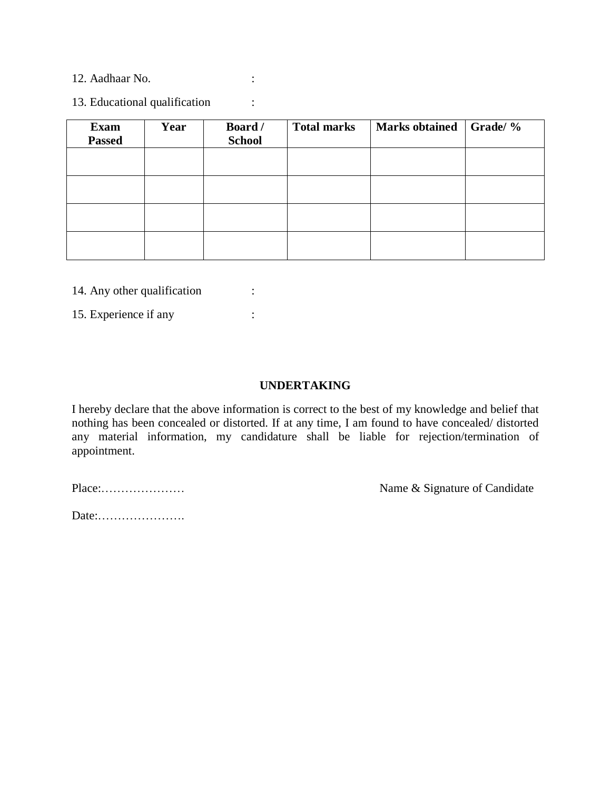12. Aadhaar No. :

13. Educational qualification :

| <b>Exam</b><br><b>Passed</b> | Year | Board /<br><b>School</b> | <b>Total marks</b> | Marks obtained Grade/ % |  |
|------------------------------|------|--------------------------|--------------------|-------------------------|--|
|                              |      |                          |                    |                         |  |
|                              |      |                          |                    |                         |  |
|                              |      |                          |                    |                         |  |
|                              |      |                          |                    |                         |  |

14. Any other qualification :

15. Experience if any :

#### **UNDERTAKING**

I hereby declare that the above information is correct to the best of my knowledge and belief that nothing has been concealed or distorted. If at any time, I am found to have concealed/ distorted any material information, my candidature shall be liable for rejection/termination of appointment.

Place:………………… Name & Signature of Candidate

Date:………………….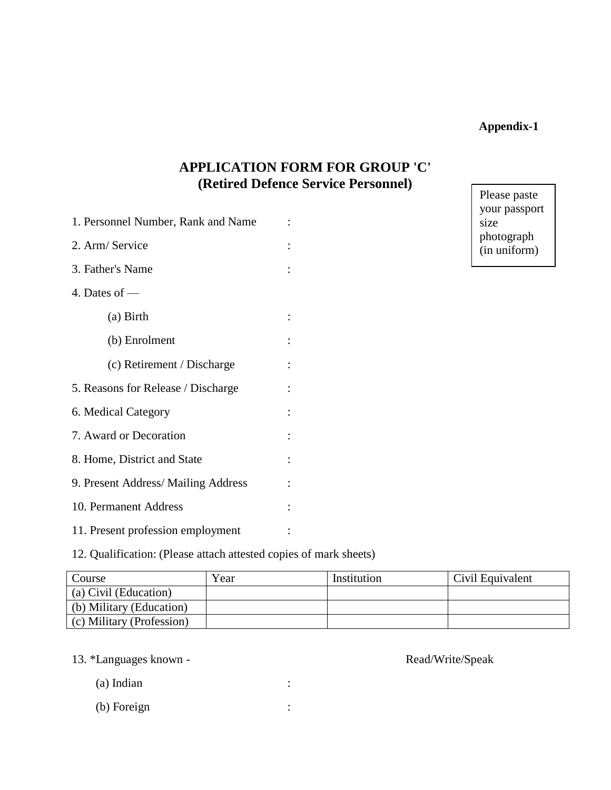### **Appendix-1**

# **APPLICATION FORM FOR GROUP 'C' (Retired Defence Service Personnel)**

| 1. Personnel Number, Rank and Name |  |
|------------------------------------|--|
| 2. Arm/Service                     |  |
| 3. Father's Name                   |  |
| 4. Dates of $-$                    |  |
| (a) Birth                          |  |
| (b) Enrolment                      |  |
| (c) Retirement / Discharge         |  |
| 5. Reasons for Release / Discharge |  |
| 6. Medical Category                |  |
| 7. Award or Decoration             |  |
| 8. Home, District and State        |  |
| 9. Present Address/Mailing Address |  |
| 10. Permanent Address              |  |
| 11. Present profession employment  |  |

Please paste your passport size photograph (in uniform)

12. Qualification: (Please attach attested copies of mark sheets)

| Course                    | Year | Institution | Civil Equivalent |
|---------------------------|------|-------------|------------------|
| (a) Civil (Education)     |      |             |                  |
| (b) Military (Education)  |      |             |                  |
| (c) Military (Profession) |      |             |                  |

13. \*Languages known - Read/Write/Speak

(a) Indian :

(b) Foreign :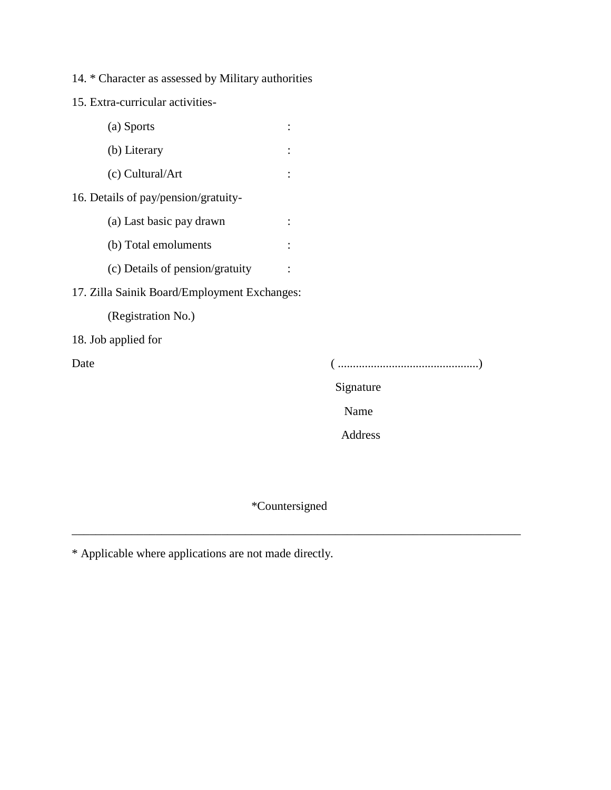14. \* Character as assessed by Military authorities

15. Extra-curricular activities-

## 17. Zilla Sainik Board/Employment Exchanges:

(Registration No.)

18. Job applied for

Date ( ...............................................)

Signature

Name

Address

\*Countersigned

\_\_\_\_\_\_\_\_\_\_\_\_\_\_\_\_\_\_\_\_\_\_\_\_\_\_\_\_\_\_\_\_\_\_\_\_\_\_\_\_\_\_\_\_\_\_\_\_\_\_\_\_\_\_\_\_\_\_\_\_\_\_\_\_\_\_\_\_\_\_\_\_\_\_\_

\* Applicable where applications are not made directly.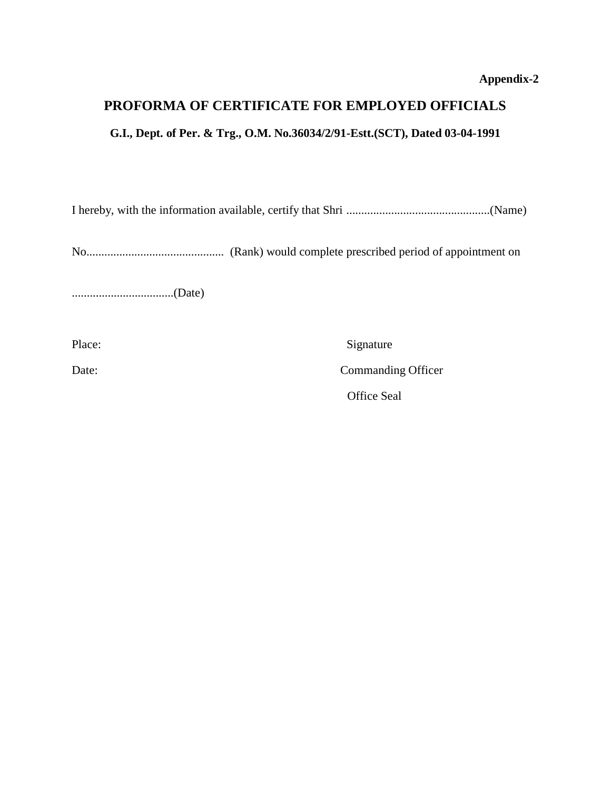# **PROFORMA OF CERTIFICATE FOR EMPLOYED OFFICIALS**

### **G.I., Dept. of Per. & Trg., O.M. No.36034/2/91-Estt.(SCT), Dated 03-04-1991**

I hereby, with the information available, certify that Shri ................................................(Name)

No.............................................. (Rank) would complete prescribed period of appointment on

..................................(Date)

Place: Signature

Date: Commanding Officer

Office Seal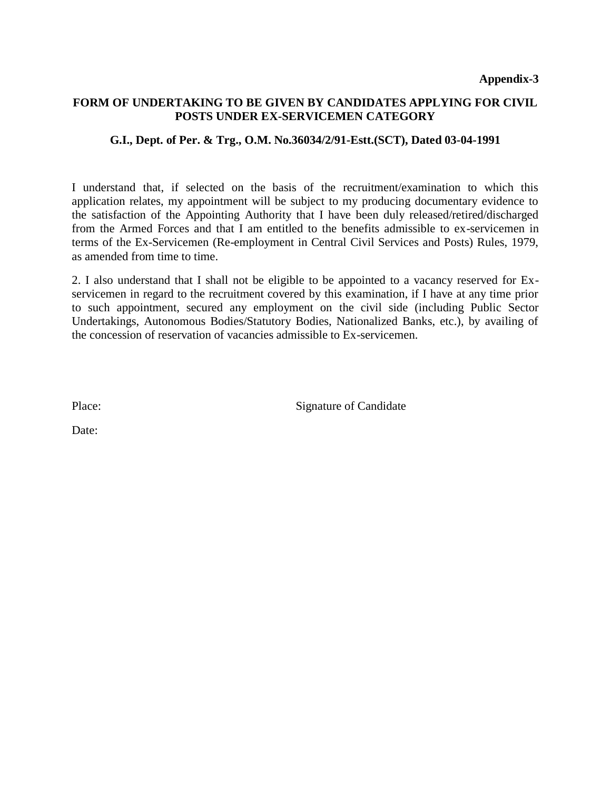#### **FORM OF UNDERTAKING TO BE GIVEN BY CANDIDATES APPLYING FOR CIVIL POSTS UNDER EX-SERVICEMEN CATEGORY**

#### **G.I., Dept. of Per. & Trg., O.M. No.36034/2/91-Estt.(SCT), Dated 03-04-1991**

I understand that, if selected on the basis of the recruitment/examination to which this application relates, my appointment will be subject to my producing documentary evidence to the satisfaction of the Appointing Authority that I have been duly released/retired/discharged from the Armed Forces and that I am entitled to the benefits admissible to ex-servicemen in terms of the Ex-Servicemen (Re-employment in Central Civil Services and Posts) Rules, 1979, as amended from time to time.

2. I also understand that I shall not be eligible to be appointed to a vacancy reserved for Exservicemen in regard to the recruitment covered by this examination, if I have at any time prior to such appointment, secured any employment on the civil side (including Public Sector Undertakings, Autonomous Bodies/Statutory Bodies, Nationalized Banks, etc.), by availing of the concession of reservation of vacancies admissible to Ex-servicemen.

Place: Signature of Candidate

Date: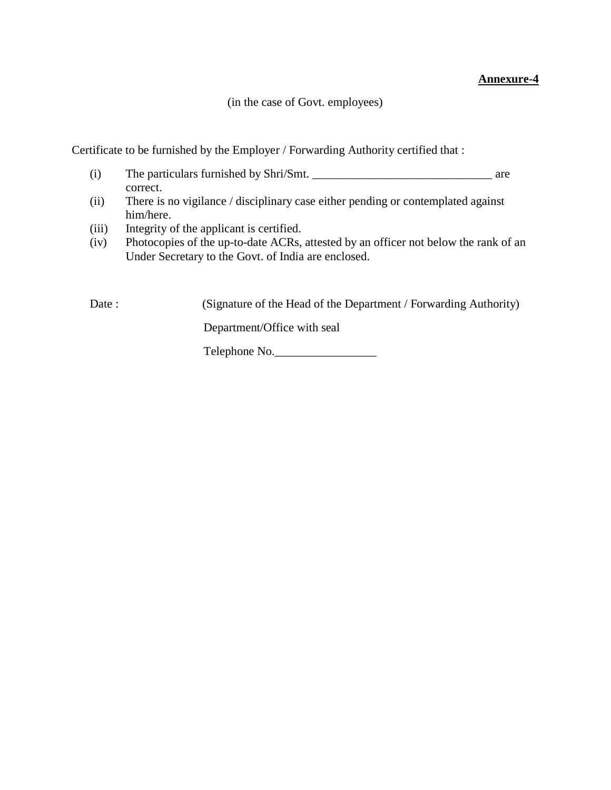#### **Annexure-4**

(in the case of Govt. employees)

Certificate to be furnished by the Employer / Forwarding Authority certified that :

- (i) The particulars furnished by Shri/Smt. \_\_\_\_\_\_\_\_\_\_\_\_\_\_\_\_\_\_\_\_\_\_\_\_\_\_\_\_\_\_ are correct.
- (ii) There is no vigilance / disciplinary case either pending or contemplated against him/here.
- (iii) Integrity of the applicant is certified.
- (iv) Photocopies of the up-to-date ACRs, attested by an officer not below the rank of an Under Secretary to the Govt. of India are enclosed.

Date : (Signature of the Head of the Department / Forwarding Authority)

Department/Office with seal

Telephone No.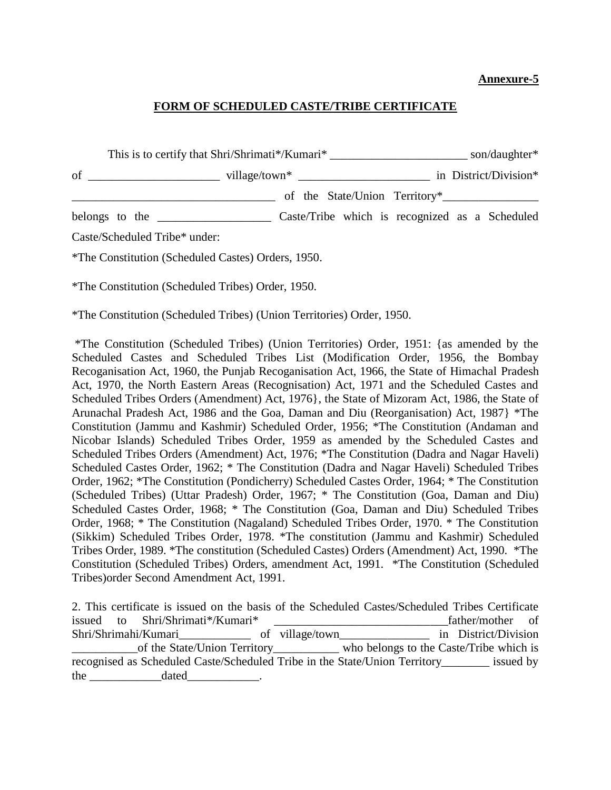#### **Annexure-5**

#### **FORM OF SCHEDULED CASTE/TRIBE CERTIFICATE**

|                                                           |  | belongs to the <u>contract contract control</u> Caste/Tribe which is recognized as a Scheduled |  |  |
|-----------------------------------------------------------|--|------------------------------------------------------------------------------------------------|--|--|
| Caste/Scheduled Tribe* under:                             |  |                                                                                                |  |  |
| <i>*The Constitution (Scheduled Castes) Orders, 1950.</i> |  |                                                                                                |  |  |

\*The Constitution (Scheduled Tribes) Order, 1950.

\*The Constitution (Scheduled Tribes) (Union Territories) Order, 1950.

\*The Constitution (Scheduled Tribes) (Union Territories) Order, 1951: {as amended by the Scheduled Castes and Scheduled Tribes List (Modification Order, 1956, the Bombay Recoganisation Act, 1960, the Punjab Recoganisation Act, 1966, the State of Himachal Pradesh Act, 1970, the North Eastern Areas (Recognisation) Act, 1971 and the Scheduled Castes and Scheduled Tribes Orders (Amendment) Act, 1976}, the State of Mizoram Act, 1986, the State of Arunachal Pradesh Act, 1986 and the Goa, Daman and Diu (Reorganisation) Act, 1987} \*The Constitution (Jammu and Kashmir) Scheduled Order, 1956; \*The Constitution (Andaman and Nicobar Islands) Scheduled Tribes Order, 1959 as amended by the Scheduled Castes and Scheduled Tribes Orders (Amendment) Act, 1976; \*The Constitution (Dadra and Nagar Haveli) Scheduled Castes Order, 1962; \* The Constitution (Dadra and Nagar Haveli) Scheduled Tribes Order, 1962; \*The Constitution (Pondicherry) Scheduled Castes Order, 1964; \* The Constitution (Scheduled Tribes) (Uttar Pradesh) Order, 1967; \* The Constitution (Goa, Daman and Diu) Scheduled Castes Order, 1968; \* The Constitution (Goa, Daman and Diu) Scheduled Tribes Order, 1968; \* The Constitution (Nagaland) Scheduled Tribes Order, 1970. \* The Constitution (Sikkim) Scheduled Tribes Order, 1978. \*The constitution (Jammu and Kashmir) Scheduled Tribes Order, 1989. \*The constitution (Scheduled Castes) Orders (Amendment) Act, 1990. \*The Constitution (Scheduled Tribes) Orders, amendment Act, 1991. \*The Constitution (Scheduled Tribes)order Second Amendment Act, 1991.

2. This certificate is issued on the basis of the Scheduled Castes/Scheduled Tribes Certificate issued to Shri/Shrimati\*/Kumari\* \_\_\_\_\_\_\_\_\_\_\_\_\_\_\_\_\_\_\_\_\_\_\_\_\_\_\_\_\_father/mother of Shri/Shrimahi/Kumari\_\_\_\_\_\_\_\_\_\_\_\_\_\_\_\_ of village/town\_\_\_\_\_\_\_\_\_\_\_\_\_\_\_\_\_\_\_\_ in District/Division of the State/Union Territory\_\_\_\_\_\_\_\_\_\_\_\_ who belongs to the Caste/Tribe which is recognised as Scheduled Caste/Scheduled Tribe in the State/Union Territory\_\_\_\_\_\_\_\_ issued by the dated .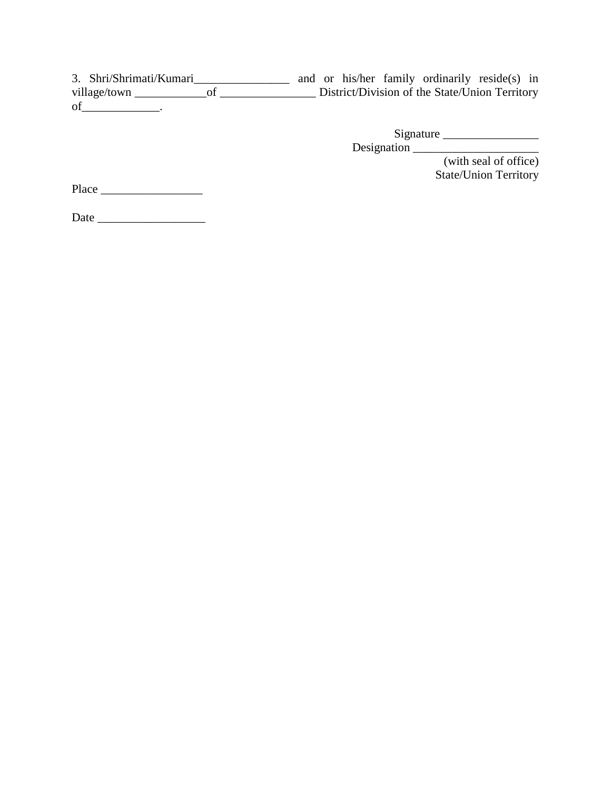3. Shri/Shrimati/Kumari\_\_\_\_\_\_\_\_\_\_\_\_\_\_\_\_ and or his/her family ordinarily reside(s) in village/town \_\_\_\_\_\_\_\_\_\_\_\_of \_\_\_\_\_\_\_\_\_\_\_\_\_\_\_\_ District/Division of the State/Union Territory of\_\_\_\_\_\_\_\_\_\_\_\_\_.

> Signature \_\_\_\_\_\_\_\_\_\_\_\_\_\_\_\_ Designation \_\_\_\_\_\_\_\_\_\_\_\_\_\_\_\_\_\_\_\_\_

(with seal of office) State/Union Territory

Place \_\_\_\_\_\_\_\_\_\_\_\_\_\_\_\_\_

Date \_\_\_\_\_\_\_\_\_\_\_\_\_\_\_\_\_\_